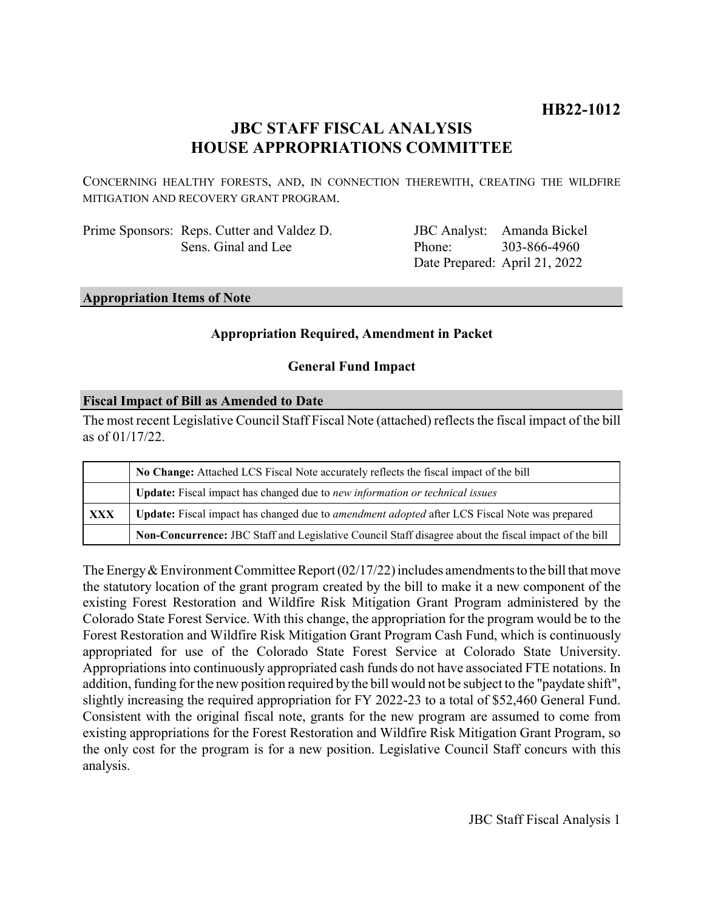# **HB22-1012**

# **JBC STAFF FISCAL ANALYSIS HOUSE APPROPRIATIONS COMMITTEE**

CONCERNING HEALTHY FORESTS, AND, IN CONNECTION THEREWITH, CREATING THE WILDFIRE MITIGATION AND RECOVERY GRANT PROGRAM.

Prime Sponsors: Reps. Cutter and Valdez D. Sens. Ginal and Lee

JBC Analyst: Phone: Date Prepared: April 21, 2022 Amanda Bickel 303-866-4960

### **Appropriation Items of Note**

### **Appropriation Required, Amendment in Packet**

### **General Fund Impact**

### **Fiscal Impact of Bill as Amended to Date**

The most recent Legislative Council Staff Fiscal Note (attached) reflects the fiscal impact of the bill as of 01/17/22.

|     | No Change: Attached LCS Fiscal Note accurately reflects the fiscal impact of the bill                       |  |  |  |
|-----|-------------------------------------------------------------------------------------------------------------|--|--|--|
|     | <b>Update:</b> Fiscal impact has changed due to new information or technical issues                         |  |  |  |
| XXX | <b>Update:</b> Fiscal impact has changed due to <i>amendment adopted</i> after LCS Fiscal Note was prepared |  |  |  |
|     | Non-Concurrence: JBC Staff and Legislative Council Staff disagree about the fiscal impact of the bill       |  |  |  |

The Energy & Environment Committee Report  $(02/17/22)$  includes amendments to the bill that move the statutory location of the grant program created by the bill to make it a new component of the existing Forest Restoration and Wildfire Risk Mitigation Grant Program administered by the Colorado State Forest Service. With this change, the appropriation for the program would be to the Forest Restoration and Wildfire Risk Mitigation Grant Program Cash Fund, which is continuously appropriated for use of the Colorado State Forest Service at Colorado State University. Appropriations into continuously appropriated cash funds do not have associated FTE notations. In addition, funding for the new position required by the bill would not be subject to the "paydate shift", slightly increasing the required appropriation for FY 2022-23 to a total of \$52,460 General Fund. Consistent with the original fiscal note, grants for the new program are assumed to come from existing appropriations for the Forest Restoration and Wildfire Risk Mitigation Grant Program, so the only cost for the program is for a new position. Legislative Council Staff concurs with this analysis.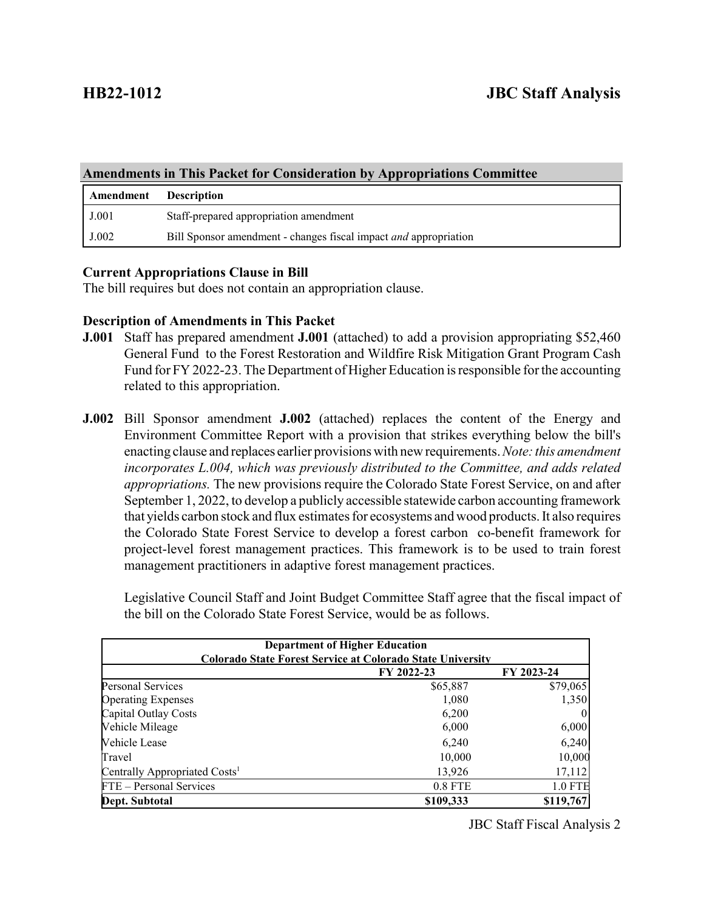| <b>Amendments in This Packet for Consideration by Appropriations Committee</b> |                                                                         |  |  |  |
|--------------------------------------------------------------------------------|-------------------------------------------------------------------------|--|--|--|
| Amendment                                                                      | <b>Description</b>                                                      |  |  |  |
| J.001                                                                          | Staff-prepared appropriation amendment                                  |  |  |  |
| J.002                                                                          | Bill Sponsor amendment - changes fiscal impact <i>and</i> appropriation |  |  |  |

## **Current Appropriations Clause in Bill**

The bill requires but does not contain an appropriation clause.

## **Description of Amendments in This Packet**

- **J.001** Staff has prepared amendment **J.001** (attached) to add a provision appropriating \$52,460 General Fund to the Forest Restoration and Wildfire Risk Mitigation Grant Program Cash Fund for FY 2022-23. The Department of Higher Education is responsible for the accounting related to this appropriation.
- **J.002** Bill Sponsor amendment **J.002** (attached) replaces the content of the Energy and Environment Committee Report with a provision that strikes everything below the bill's enacting clause and replaces earlier provisions with new requirements. *Note: this amendment incorporates L.004, which was previously distributed to the Committee, and adds related appropriations.* The new provisions require the Colorado State Forest Service, on and after September 1, 2022, to develop a publicly accessible statewide carbon accounting framework that yields carbon stock and flux estimates for ecosystems and wood products. It also requires the Colorado State Forest Service to develop a forest carbon co-benefit framework for project-level forest management practices. This framework is to be used to train forest management practitioners in adaptive forest management practices.

Legislative Council Staff and Joint Budget Committee Staff agree that the fiscal impact of the bill on the Colorado State Forest Service, would be as follows.

| <b>Department of Higher Education</b><br><b>Colorado State Forest Service at Colorado State University</b> |            |            |  |  |
|------------------------------------------------------------------------------------------------------------|------------|------------|--|--|
|                                                                                                            | FY 2022-23 | FY 2023-24 |  |  |
| <b>Personal Services</b>                                                                                   | \$65,887   | \$79,065   |  |  |
| <b>Operating Expenses</b>                                                                                  | 1,080      | 1,350      |  |  |
| Capital Outlay Costs                                                                                       | 6,200      | $\theta$   |  |  |
| Vehicle Mileage                                                                                            | 6,000      | 6,000      |  |  |
| Vehicle Lease                                                                                              | 6,240      | 6,240      |  |  |
| Travel                                                                                                     | 10,000     | 10,000     |  |  |
| Centrally Appropriated Costs <sup>1</sup>                                                                  | 13,926     | 17,112     |  |  |
| FTE - Personal Services                                                                                    | 0.8 FTE    | $1.0$ FTE  |  |  |
| Dept. Subtotal                                                                                             | \$109,333  | \$119,767  |  |  |

JBC Staff Fiscal Analysis 2